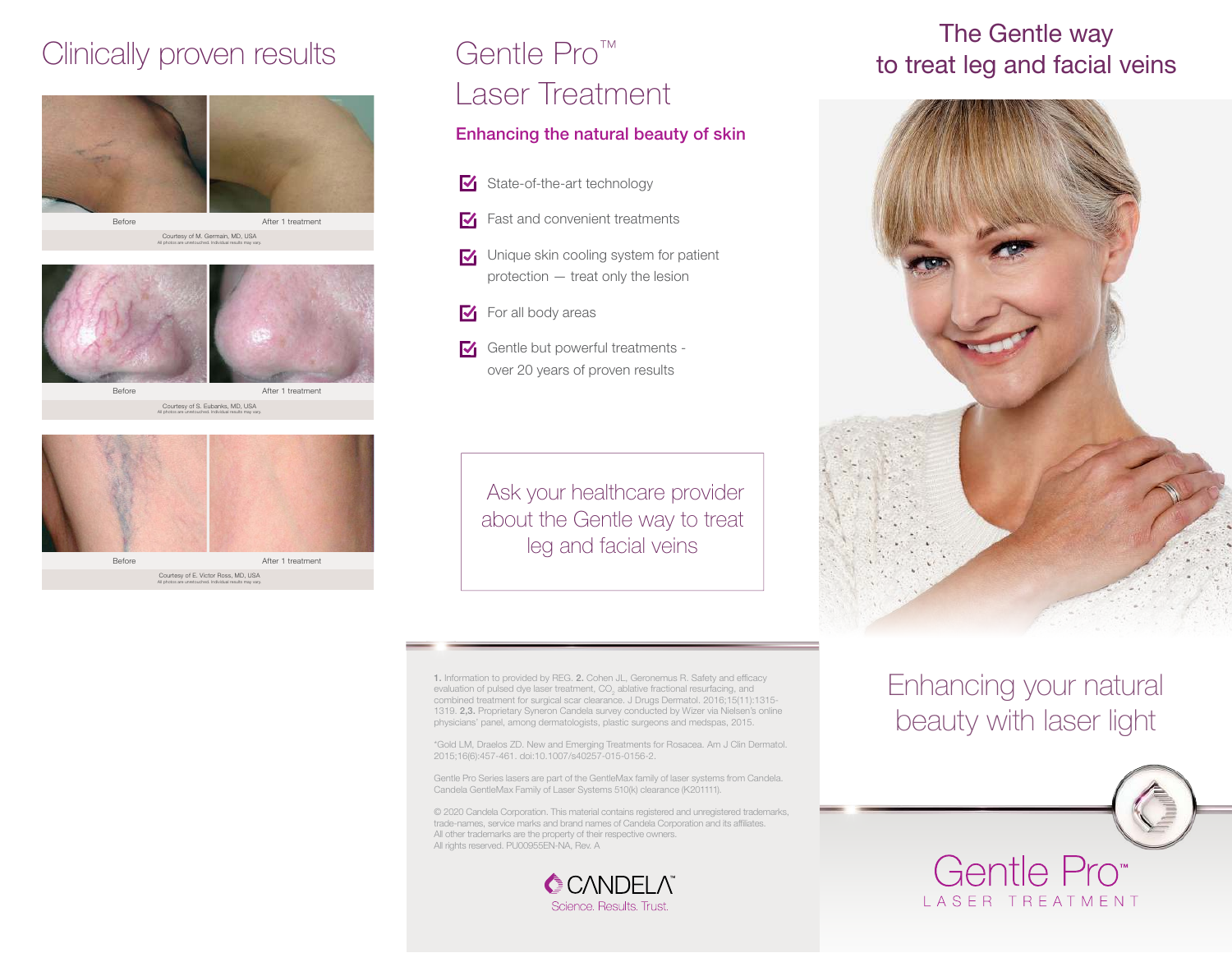

Courtesy of M. Germain, MD, USA All photos are unretouched. Individual results may vary.



All photos are unretouched. Individual results may vary.

Courtesy of S. Eubanks, MD, USA



## Gentle Pro™ Laser Treatment

#### Enhancing the natural beauty of skin

- State-of-the-art technology
- **Fast and convenient treatments**
- **V** Unique skin cooling system for patient protection — treat only the lesion
- $\blacktriangleright$  For all body areas
- Gentle but powerful treatments over 20 years of proven results

 Ask your healthcare provider about the Gentle way to treat leg and facial veins

# The Gentle way<br>Clinically proven results Gentle Pro<sup>m</sup> to treat leg and facial veins



1. Information to provided by REG. 2. Cohen JL, Geronemus R. Safety and efficacy evaluation of pulsed dye laser treatment,  $\mathsf{CO}_2$  ablative fractional resurfacing, and combined treatment for surgical scar clearance. J Drugs Dermatol. 2016;15(11):1315- 1319. 2,3. Proprietary Syneron Candela survey conducted by Wizer via Nielsen's online physicians' panel, among dermatologists, plastic surgeons and medspas, 2015.

\*Gold LM, Draelos ZD. New and Emerging Treatments for Rosacea. Am J Clin Dermatol. 2015;16(6):457-461. doi:10.1007/s40257-015-0156-2.

Gentle Pro Series lasers are part of the GentleMax family of laser systems from Candela. Candela GentleMax Family of Laser Systems 510(k) clearance (K201111).

© 2020 Candela Corporation. This material contains registered and unregistered trademarks, trade-names, service marks and brand names of Candela Corporation and its affiliates. All other trademarks are the property of their respective owners. All rights reserved. PU00955EN-NA, Rev. A



#### Enhancing your natural beauty with laser light



Gentle Pro I ASFR TREATMENT